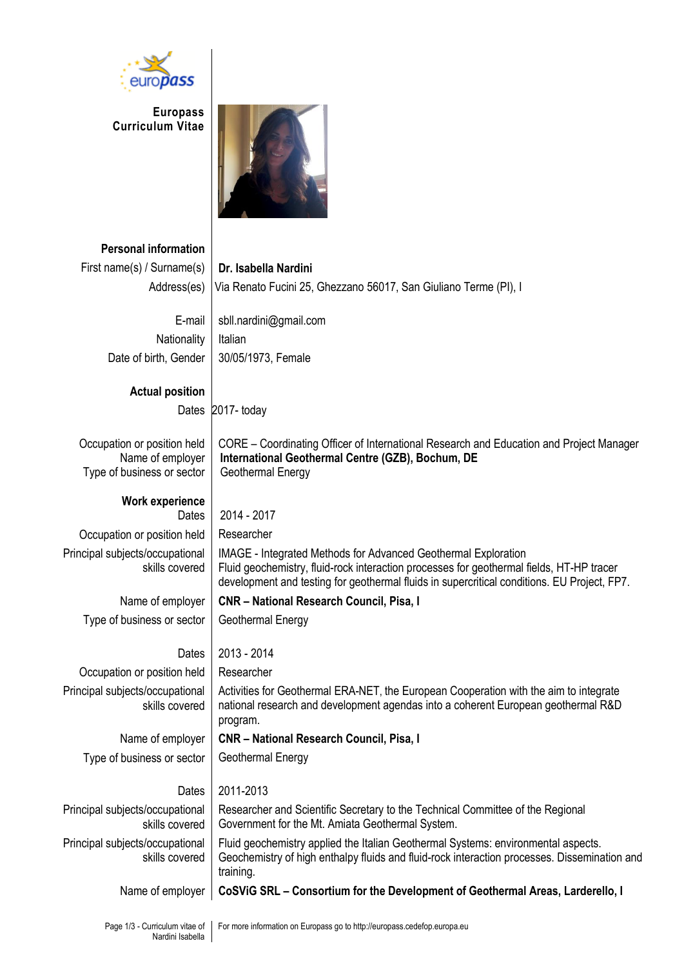

**Europass Curriculum Vitae**



**Personal information**

| First name(s) / Surname(s)      | Dr. Isabella Nardini                                                                          |
|---------------------------------|-----------------------------------------------------------------------------------------------|
| Address(es)                     | Via Renato Fucini 25, Ghezzano 56017, San Giuliano Terme (PI), I                              |
| E-mail                          |                                                                                               |
|                                 | sbll.nardini@gmail.com                                                                        |
| Nationality                     | Italian                                                                                       |
| Date of birth, Gender           | 30/05/1973, Female                                                                            |
| <b>Actual position</b>          |                                                                                               |
|                                 | Dates 2017-today                                                                              |
|                                 |                                                                                               |
| Occupation or position held     | CORE - Coordinating Officer of International Research and Education and Project Manager       |
| Name of employer                | International Geothermal Centre (GZB), Bochum, DE                                             |
| Type of business or sector      | Geothermal Energy                                                                             |
| <b>Work experience</b>          |                                                                                               |
| Dates                           | 2014 - 2017                                                                                   |
| Occupation or position held     | Researcher                                                                                    |
| Principal subjects/occupational | <b>IMAGE</b> - Integrated Methods for Advanced Geothermal Exploration                         |
| skills covered                  | Fluid geochemistry, fluid-rock interaction processes for geothermal fields, HT-HP tracer      |
|                                 | development and testing for geothermal fluids in supercritical conditions. EU Project, FP7.   |
| Name of employer                | CNR - National Research Council, Pisa, I                                                      |
| Type of business or sector      | Geothermal Energy                                                                             |
|                                 |                                                                                               |
| Dates                           | 2013 - 2014                                                                                   |
| Occupation or position held     | Researcher                                                                                    |
| Principal subjects/occupational | Activities for Geothermal ERA-NET, the European Cooperation with the aim to integrate         |
| skills covered                  | national research and development agendas into a coherent European geothermal R&D<br>program. |
| Name of employer                | <b>CNR - National Research Council, Pisa, I</b>                                               |
| Type of business or sector      | Geothermal Energy                                                                             |
|                                 |                                                                                               |
| Dates                           | 2011-2013                                                                                     |
| Principal subjects/occupational | Researcher and Scientific Secretary to the Technical Committee of the Regional                |
| skills covered                  | Government for the Mt. Amiata Geothermal System.                                              |
| Principal subjects/occupational | Fluid geochemistry applied the Italian Geothermal Systems: environmental aspects.             |
| skills covered                  | Geochemistry of high enthalpy fluids and fluid-rock interaction processes. Dissemination and  |
|                                 | training.                                                                                     |
| Name of employer                | CoSViG SRL - Consortium for the Development of Geothermal Areas, Larderello, I                |
|                                 |                                                                                               |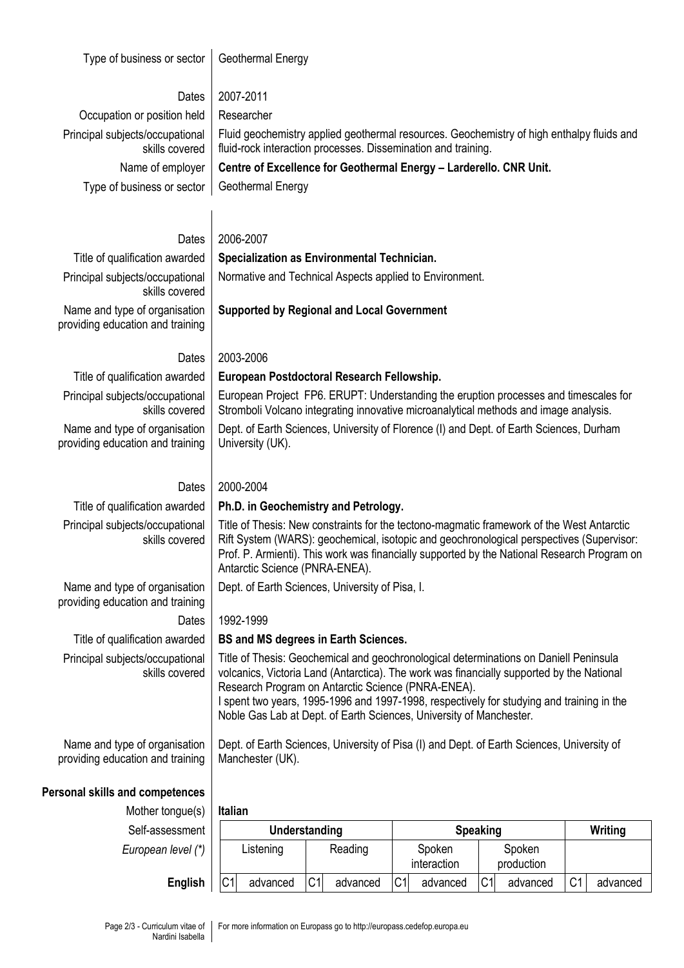Type of business or sector Geothermal Energy

| <b>I YNU UI NUUIHUUU UI UUULUI</b>                                | <b>OUUTUITUI LIUI Y</b>                                                                                                                                                                                                                                                                                                                                                                                      |
|-------------------------------------------------------------------|--------------------------------------------------------------------------------------------------------------------------------------------------------------------------------------------------------------------------------------------------------------------------------------------------------------------------------------------------------------------------------------------------------------|
|                                                                   | 2007-2011                                                                                                                                                                                                                                                                                                                                                                                                    |
| Dates<br>Occupation or position held                              | Researcher                                                                                                                                                                                                                                                                                                                                                                                                   |
| Principal subjects/occupational<br>skills covered                 | Fluid geochemistry applied geothermal resources. Geochemistry of high enthalpy fluids and<br>fluid-rock interaction processes. Dissemination and training.                                                                                                                                                                                                                                                   |
| Name of employer                                                  | Centre of Excellence for Geothermal Energy - Larderello. CNR Unit.                                                                                                                                                                                                                                                                                                                                           |
| Type of business or sector                                        | Geothermal Energy                                                                                                                                                                                                                                                                                                                                                                                            |
|                                                                   |                                                                                                                                                                                                                                                                                                                                                                                                              |
|                                                                   |                                                                                                                                                                                                                                                                                                                                                                                                              |
| Dates                                                             | 2006-2007                                                                                                                                                                                                                                                                                                                                                                                                    |
| Title of qualification awarded                                    | Specialization as Environmental Technician.                                                                                                                                                                                                                                                                                                                                                                  |
| Principal subjects/occupational<br>skills covered                 | Normative and Technical Aspects applied to Environment.                                                                                                                                                                                                                                                                                                                                                      |
| Name and type of organisation<br>providing education and training | <b>Supported by Regional and Local Government</b>                                                                                                                                                                                                                                                                                                                                                            |
| Dates                                                             | 2003-2006                                                                                                                                                                                                                                                                                                                                                                                                    |
| Title of qualification awarded                                    | European Postdoctoral Research Fellowship.                                                                                                                                                                                                                                                                                                                                                                   |
| Principal subjects/occupational<br>skills covered                 | European Project FP6. ERUPT: Understanding the eruption processes and timescales for<br>Stromboli Volcano integrating innovative microanalytical methods and image analysis.                                                                                                                                                                                                                                 |
| Name and type of organisation<br>providing education and training | Dept. of Earth Sciences, University of Florence (I) and Dept. of Earth Sciences, Durham<br>University (UK).                                                                                                                                                                                                                                                                                                  |
| Dates                                                             | 2000-2004                                                                                                                                                                                                                                                                                                                                                                                                    |
| Title of qualification awarded                                    | Ph.D. in Geochemistry and Petrology.                                                                                                                                                                                                                                                                                                                                                                         |
| Principal subjects/occupational<br>skills covered                 | Title of Thesis: New constraints for the tectono-magmatic framework of the West Antarctic<br>Rift System (WARS): geochemical, isotopic and geochronological perspectives (Supervisor:<br>Prof. P. Armienti). This work was financially supported by the National Research Program on<br>Antarctic Science (PNRA-ENEA).                                                                                       |
| Name and type of organisation<br>providing education and training | Dept. of Earth Sciences, University of Pisa, I.                                                                                                                                                                                                                                                                                                                                                              |
| Dates                                                             | 1992-1999                                                                                                                                                                                                                                                                                                                                                                                                    |
| Title of qualification awarded                                    | <b>BS and MS degrees in Earth Sciences.</b>                                                                                                                                                                                                                                                                                                                                                                  |
| Principal subjects/occupational<br>skills covered                 | Title of Thesis: Geochemical and geochronological determinations on Daniell Peninsula<br>volcanics, Victoria Land (Antarctica). The work was financially supported by the National<br>Research Program on Antarctic Science (PNRA-ENEA).<br>I spent two years, 1995-1996 and 1997-1998, respectively for studying and training in the<br>Noble Gas Lab at Dept. of Earth Sciences, University of Manchester. |
| Name and type of organisation<br>providing education and training | Dept. of Earth Sciences, University of Pisa (I) and Dept. of Earth Sciences, University of<br>Manchester (UK).                                                                                                                                                                                                                                                                                               |
|                                                                   |                                                                                                                                                                                                                                                                                                                                                                                                              |

## **Personal skills and competences**

Mother tongue(s) **Italian**  $Self-assessmen$ *European level (\** 

| essment        |                | Understanding |    |          |    | <b>Speaking</b>       | Writing |                      |                |          |
|----------------|----------------|---------------|----|----------|----|-----------------------|---------|----------------------|----------------|----------|
| $level (*)$    |                | Listening     |    | Reading  |    | Spoken<br>interaction |         | Spoken<br>production |                |          |
| <b>English</b> | C <sub>1</sub> | advanced      | C1 | advanced | C1 | advanced              | C1      | advanced             | C <sub>1</sub> | advanced |